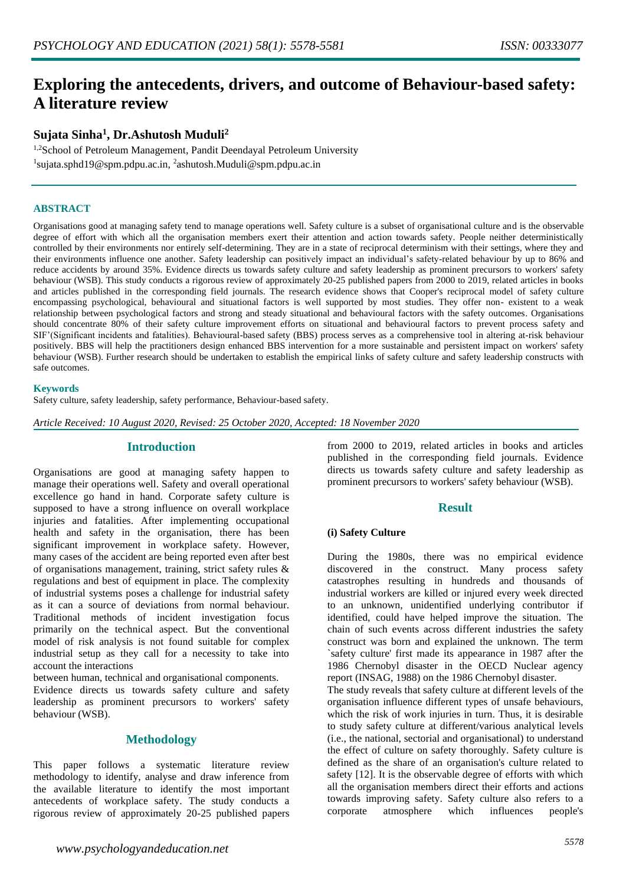# **Exploring the antecedents, drivers, and outcome of Behaviour-based safety: A literature review**

# **Sujata Sinha<sup>1</sup> , Dr.Ashutosh Muduli<sup>2</sup>**

<sup>1,2</sup>School of Petroleum Management, Pandit Deendayal Petroleum University <sup>1</sup>sujata.sphd19@spm.pdpu.ac.in, <sup>2</sup>ashutosh.Muduli@spm.pdpu.ac.in

### **ABSTRACT**

Organisations good at managing safety tend to manage operations well. Safety culture is a subset of organisational culture and is the observable degree of effort with which all the organisation members exert their attention and action towards safety. People neither deterministically controlled by their environments nor entirely self-determining. They are in a state of reciprocal determinism with their settings, where they and their environments influence one another. Safety leadership can positively impact an individual's safety-related behaviour by up to 86% and reduce accidents by around 35%. Evidence directs us towards safety culture and safety leadership as prominent precursors to workers' safety behaviour (WSB). This study conducts a rigorous review of approximately 20-25 published papers from 2000 to 2019, related articles in books and articles published in the corresponding field journals. The research evidence shows that Cooper's reciprocal model of safety culture encompassing psychological, behavioural and situational factors is well supported by most studies. They offer non- existent to a weak relationship between psychological factors and strong and steady situational and behavioural factors with the safety outcomes. Organisations should concentrate 80% of their safety culture improvement efforts on situational and behavioural factors to prevent process safety and SIF'(Significant incidents and fatalities). Behavioural-based safety (BBS) process serves as a comprehensive tool in altering at-risk behaviour positively. BBS will help the practitioners design enhanced BBS intervention for a more sustainable and persistent impact on workers' safety behaviour (WSB). Further research should be undertaken to establish the empirical links of safety culture and safety leadership constructs with safe outcomes.

#### **Keywords**

Safety culture, safety leadership, safety performance, Behaviour-based safety.

*Article Received: 10 August 2020, Revised: 25 October 2020, Accepted: 18 November 2020*

## **Introduction**

Organisations are good at managing safety happen to manage their operations well. Safety and overall operational excellence go hand in hand. Corporate safety culture is supposed to have a strong influence on overall workplace injuries and fatalities. After implementing occupational health and safety in the organisation, there has been significant improvement in workplace safety. However, many cases of the accident are being reported even after best of organisations management, training, strict safety rules & regulations and best of equipment in place. The complexity of industrial systems poses a challenge for industrial safety as it can a source of deviations from normal behaviour. Traditional methods of incident investigation focus primarily on the technical aspect. But the conventional model of risk analysis is not found suitable for complex industrial setup as they call for a necessity to take into account the interactions

between human, technical and organisational components.

Evidence directs us towards safety culture and safety leadership as prominent precursors to workers' safety behaviour (WSB).

# **Methodology**

This paper follows a systematic literature review methodology to identify, analyse and draw inference from the available literature to identify the most important antecedents of workplace safety. The study conducts a rigorous review of approximately 20-25 published papers

from 2000 to 2019, related articles in books and articles published in the corresponding field journals. Evidence directs us towards safety culture and safety leadership as prominent precursors to workers' safety behaviour (WSB).

## **Result**

#### **(i) Safety Culture**

During the 1980s, there was no empirical evidence discovered in the construct. Many process safety catastrophes resulting in hundreds and thousands of industrial workers are killed or injured every week directed to an unknown, unidentified underlying contributor if identified, could have helped improve the situation. The chain of such events across different industries the safety construct was born and explained the unknown. The term `safety culture' first made its appearance in 1987 after the 1986 Chernobyl disaster in the OECD Nuclear agency report (INSAG, 1988) on the 1986 Chernobyl disaster. The study reveals that safety culture at different levels of the organisation influence different types of unsafe behaviours, which the risk of work injuries in turn. Thus, it is desirable to study safety culture at different/various analytical levels (i.e., the national, sectorial and organisational) to understand

the effect of culture on safety thoroughly. Safety culture is defined as the share of an organisation's culture related to safety [12]. It is the observable degree of efforts with which all the organisation members direct their efforts and actions towards improving safety. Safety culture also refers to a corporate atmosphere which influences people's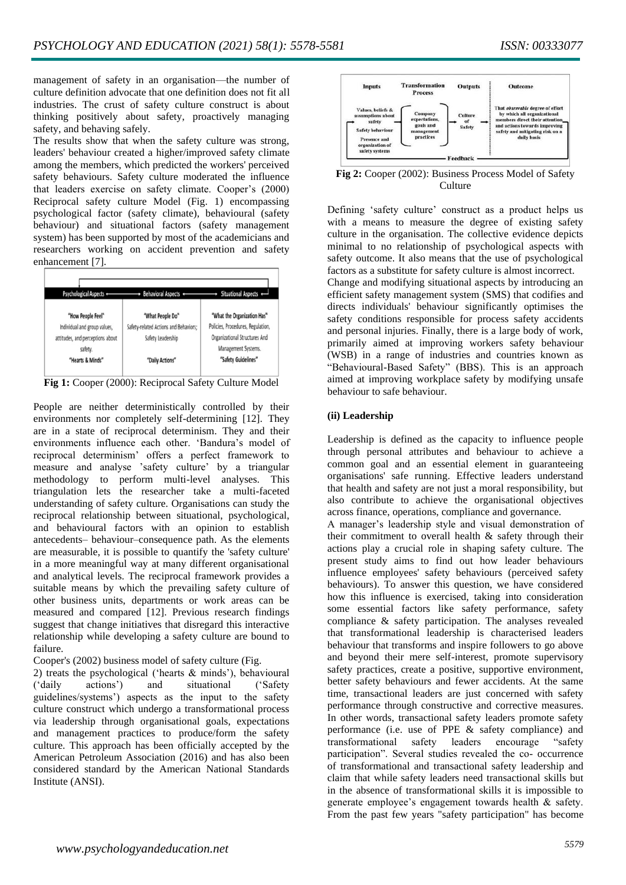management of safety in an organisation—the number of culture definition advocate that one definition does not fit all industries. The crust of safety culture construct is about thinking positively about safety, proactively managing safety, and behaving safely.

The results show that when the safety culture was strong, leaders' behaviour created a higher/improved safety climate among the members, which predicted the workers' perceived safety behaviours. Safety culture moderated the influence that leaders exercise on safety climate. Cooper's (2000) Reciprocal safety culture Model (Fig. 1) encompassing psychological factor (safety climate), behavioural (safety behaviour) and situational factors (safety management system) has been supported by most of the academicians and researchers working on accident prevention and safety enhancement [7].



**Fig 1:** Cooper (2000): Reciprocal Safety Culture Model

People are neither deterministically controlled by their environments nor completely self-determining [12]. They are in a state of reciprocal determinism. They and their environments influence each other. 'Bandura's model of reciprocal determinism' offers a perfect framework to measure and analyse 'safety culture' by a triangular methodology to perform multi-level analyses. This triangulation lets the researcher take a multi-faceted understanding of safety culture. Organisations can study the reciprocal relationship between situational, psychological, and behavioural factors with an opinion to establish antecedents– behaviour–consequence path. As the elements are measurable, it is possible to quantify the 'safety culture' in a more meaningful way at many different organisational and analytical levels. The reciprocal framework provides a suitable means by which the prevailing safety culture of other business units, departments or work areas can be measured and compared [12]. Previous research findings suggest that change initiatives that disregard this interactive relationship while developing a safety culture are bound to failure.

Cooper's (2002) business model of safety culture (Fig.

2) treats the psychological ('hearts & minds'), behavioural ('daily actions') and situational ('Safety guidelines/systems') aspects as the input to the safety culture construct which undergo a transformational process via leadership through organisational goals, expectations and management practices to produce/form the safety culture. This approach has been officially accepted by the American Petroleum Association (2016) and has also been considered standard by the American National Standards Institute (ANSI).



**Fig 2:** Cooper (2002): Business Process Model of Safety **Culture** 

Defining 'safety culture' construct as a product helps us with a means to measure the degree of existing safety culture in the organisation. The collective evidence depicts minimal to no relationship of psychological aspects with safety outcome. It also means that the use of psychological factors as a substitute for safety culture is almost incorrect.

Change and modifying situational aspects by introducing an efficient safety management system (SMS) that codifies and directs individuals' behaviour significantly optimises the safety conditions responsible for process safety accidents and personal injuries. Finally, there is a large body of work, primarily aimed at improving workers safety behaviour (WSB) in a range of industries and countries known as "Behavioural-Based Safety" (BBS). This is an approach aimed at improving workplace safety by modifying unsafe behaviour to safe behaviour.

## **(ii) Leadership**

Leadership is defined as the capacity to influence people through personal attributes and behaviour to achieve a common goal and an essential element in guaranteeing organisations' safe running. Effective leaders understand that health and safety are not just a moral responsibility, but also contribute to achieve the organisational objectives across finance, operations, compliance and governance.

A manager's leadership style and visual demonstration of their commitment to overall health & safety through their actions play a crucial role in shaping safety culture. The present study aims to find out how leader behaviours influence employees' safety behaviours (perceived safety behaviours). To answer this question, we have considered how this influence is exercised, taking into consideration some essential factors like safety performance, safety compliance & safety participation. The analyses revealed that transformational leadership is characterised leaders behaviour that transforms and inspire followers to go above and beyond their mere self-interest, promote supervisory safety practices, create a positive, supportive environment, better safety behaviours and fewer accidents. At the same time, transactional leaders are just concerned with safety performance through constructive and corrective measures. In other words, transactional safety leaders promote safety performance (i.e. use of PPE & safety compliance) and transformational safety leaders encourage "safety participation". Several studies revealed the co- occurrence of transformational and transactional safety leadership and claim that while safety leaders need transactional skills but in the absence of transformational skills it is impossible to generate employee's engagement towards health & safety. From the past few years "safety participation" has become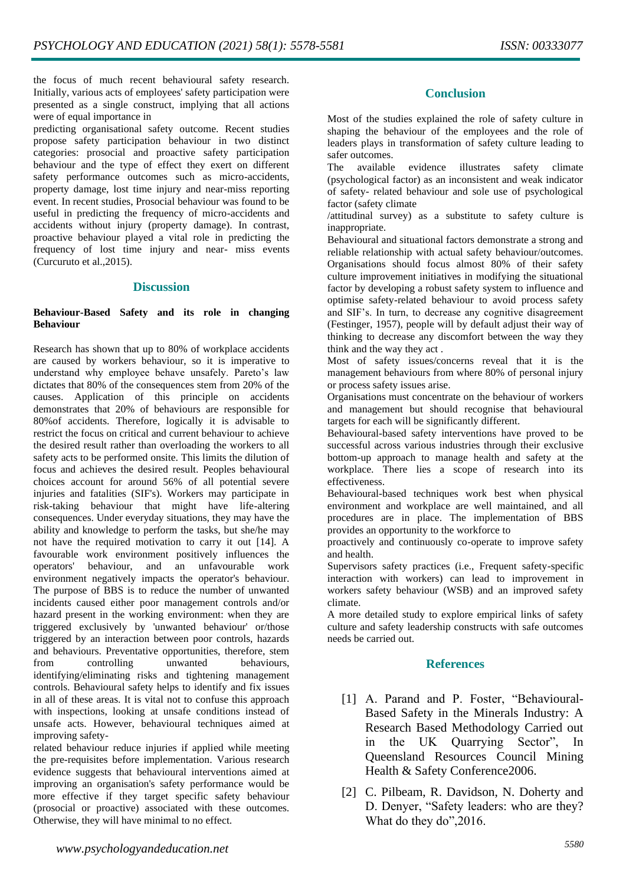the focus of much recent behavioural safety research. Initially, various acts of employees' safety participation were presented as a single construct, implying that all actions were of equal importance in

predicting organisational safety outcome. Recent studies propose safety participation behaviour in two distinct categories: prosocial and proactive safety participation behaviour and the type of effect they exert on different safety performance outcomes such as micro-accidents, property damage, lost time injury and near-miss reporting event. In recent studies, Prosocial behaviour was found to be useful in predicting the frequency of micro-accidents and accidents without injury (property damage). In contrast, proactive behaviour played a vital role in predicting the frequency of lost time injury and near- miss events (Curcuruto et al.,2015).

# **Discussion**

## **Behaviour-Based Safety and its role in changing Behaviour**

Research has shown that up to 80% of workplace accidents are caused by workers behaviour, so it is imperative to understand why employee behave unsafely. Pareto's law dictates that 80% of the consequences stem from 20% of the causes. Application of this principle on accidents demonstrates that 20% of behaviours are responsible for 80%of accidents. Therefore, logically it is advisable to restrict the focus on critical and current behaviour to achieve the desired result rather than overloading the workers to all safety acts to be performed onsite. This limits the dilution of focus and achieves the desired result. Peoples behavioural choices account for around 56% of all potential severe injuries and fatalities (SIF's). Workers may participate in risk-taking behaviour that might have life-altering consequences. Under everyday situations, they may have the ability and knowledge to perform the tasks, but she/he may not have the required motivation to carry it out [14]. A favourable work environment positively influences the operators' behaviour, and an unfavourable work environment negatively impacts the operator's behaviour. The purpose of BBS is to reduce the number of unwanted incidents caused either poor management controls and/or hazard present in the working environment: when they are triggered exclusively by 'unwanted behaviour' or/those triggered by an interaction between poor controls, hazards and behaviours. Preventative opportunities, therefore, stem from controlling unwanted behaviours, identifying/eliminating risks and tightening management controls. Behavioural safety helps to identify and fix issues in all of these areas. It is vital not to confuse this approach with inspections, looking at unsafe conditions instead of unsafe acts. However, behavioural techniques aimed at improving safety-

related behaviour reduce injuries if applied while meeting the pre-requisites before implementation. Various research evidence suggests that behavioural interventions aimed at improving an organisation's safety performance would be more effective if they target specific safety behaviour (prosocial or proactive) associated with these outcomes. Otherwise, they will have minimal to no effect.

# **Conclusion**

Most of the studies explained the role of safety culture in shaping the behaviour of the employees and the role of leaders plays in transformation of safety culture leading to safer outcomes.

The available evidence illustrates safety climate (psychological factor) as an inconsistent and weak indicator of safety- related behaviour and sole use of psychological factor (safety climate

/attitudinal survey) as a substitute to safety culture is inappropriate.

Behavioural and situational factors demonstrate a strong and reliable relationship with actual safety behaviour/outcomes. Organisations should focus almost 80% of their safety culture improvement initiatives in modifying the situational factor by developing a robust safety system to influence and optimise safety-related behaviour to avoid process safety and SIF's. In turn, to decrease any cognitive disagreement (Festinger, 1957), people will by default adjust their way of thinking to decrease any discomfort between the way they think and the way they act .

Most of safety issues/concerns reveal that it is the management behaviours from where 80% of personal injury or process safety issues arise.

Organisations must concentrate on the behaviour of workers and management but should recognise that behavioural targets for each will be significantly different.

Behavioural-based safety interventions have proved to be successful across various industries through their exclusive bottom-up approach to manage health and safety at the workplace. There lies a scope of research into its effectiveness.

Behavioural-based techniques work best when physical environment and workplace are well maintained, and all procedures are in place. The implementation of BBS provides an opportunity to the workforce to

proactively and continuously co-operate to improve safety and health.

Supervisors safety practices (i.e., Frequent safety-specific interaction with workers) can lead to improvement in workers safety behaviour (WSB) and an improved safety climate.

A more detailed study to explore empirical links of safety culture and safety leadership constructs with safe outcomes needs be carried out.

# **References**

- [1] A. Parand and P. Foster, "Behavioural-Based Safety in the Minerals Industry: A Research Based Methodology Carried out in the UK Quarrying Sector", In Queensland Resources Council Mining Health & Safety Conference2006.
- [2] C. Pilbeam, R. Davidson, N. Doherty and D. Denyer, "Safety leaders: who are they? What do they do",2016.